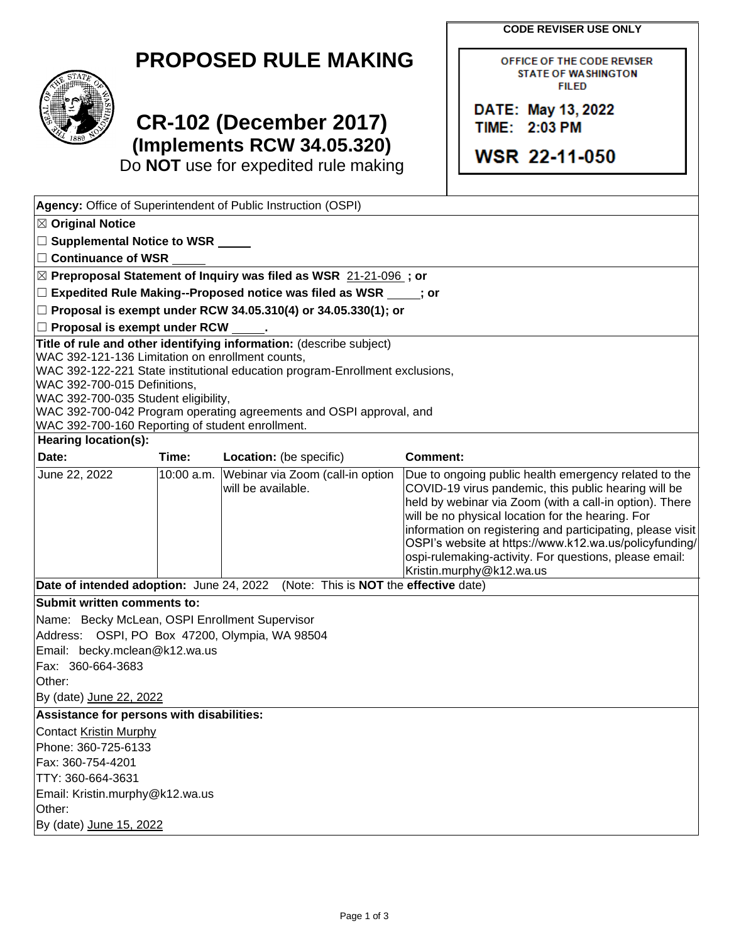**CODE REVISER USE ONLY** 

OFFICE OF THE CODE REVISER **STATE OF WASHINGTON FILED** 

DATE: May 13, 2022 TIME: 2:03 PM

**WSR 22-11-050** 

## **PROPOSED RULE MAKING**

## **CR-102 (December 2017) (Implements RCW 34.05.320)**

Do **NOT** use for expedited rule making

| Agency: Office of Superintendent of Public Instruction (OSPI)                                                                                                                                                                                                                                                                                                                                              |       |                                                                   |                                                                                                                                                                                                                                                                                                                                                                                                                                             |  |  |  |  |
|------------------------------------------------------------------------------------------------------------------------------------------------------------------------------------------------------------------------------------------------------------------------------------------------------------------------------------------------------------------------------------------------------------|-------|-------------------------------------------------------------------|---------------------------------------------------------------------------------------------------------------------------------------------------------------------------------------------------------------------------------------------------------------------------------------------------------------------------------------------------------------------------------------------------------------------------------------------|--|--|--|--|
| $\boxtimes$ Original Notice                                                                                                                                                                                                                                                                                                                                                                                |       |                                                                   |                                                                                                                                                                                                                                                                                                                                                                                                                                             |  |  |  |  |
| □ Supplemental Notice to WSR _____                                                                                                                                                                                                                                                                                                                                                                         |       |                                                                   |                                                                                                                                                                                                                                                                                                                                                                                                                                             |  |  |  |  |
| $\Box$ Continuance of WSR                                                                                                                                                                                                                                                                                                                                                                                  |       |                                                                   |                                                                                                                                                                                                                                                                                                                                                                                                                                             |  |  |  |  |
| ⊠ Preproposal Statement of Inquiry was filed as WSR 21-21-096; or                                                                                                                                                                                                                                                                                                                                          |       |                                                                   |                                                                                                                                                                                                                                                                                                                                                                                                                                             |  |  |  |  |
| $\Box$ Expedited Rule Making--Proposed notice was filed as WSR $\Box$ ; or                                                                                                                                                                                                                                                                                                                                 |       |                                                                   |                                                                                                                                                                                                                                                                                                                                                                                                                                             |  |  |  |  |
| □ Proposal is exempt under RCW 34.05.310(4) or 34.05.330(1); or                                                                                                                                                                                                                                                                                                                                            |       |                                                                   |                                                                                                                                                                                                                                                                                                                                                                                                                                             |  |  |  |  |
| $\Box$ Proposal is exempt under RCW $\_\_\_\$ .                                                                                                                                                                                                                                                                                                                                                            |       |                                                                   |                                                                                                                                                                                                                                                                                                                                                                                                                                             |  |  |  |  |
| Title of rule and other identifying information: (describe subject)<br>WAC 392-121-136 Limitation on enrollment counts,<br>WAC 392-122-221 State institutional education program-Enrollment exclusions,<br>WAC 392-700-015 Definitions,<br>WAC 392-700-035 Student eligibility,<br>WAC 392-700-042 Program operating agreements and OSPI approval, and<br>WAC 392-700-160 Reporting of student enrollment. |       |                                                                   |                                                                                                                                                                                                                                                                                                                                                                                                                                             |  |  |  |  |
| Hearing location(s):                                                                                                                                                                                                                                                                                                                                                                                       |       |                                                                   |                                                                                                                                                                                                                                                                                                                                                                                                                                             |  |  |  |  |
| Date:                                                                                                                                                                                                                                                                                                                                                                                                      | Time: | Location: (be specific)                                           | <b>Comment:</b>                                                                                                                                                                                                                                                                                                                                                                                                                             |  |  |  |  |
| June 22, 2022                                                                                                                                                                                                                                                                                                                                                                                              |       | 10:00 a.m. Webinar via Zoom (call-in option<br>will be available. | Due to ongoing public health emergency related to the<br>COVID-19 virus pandemic, this public hearing will be<br>held by webinar via Zoom (with a call-in option). There<br>will be no physical location for the hearing. For<br>information on registering and participating, please visit<br>OSPI's website at https://www.k12.wa.us/policyfunding/<br>ospi-rulemaking-activity. For questions, please email:<br>Kristin.murphy@k12.wa.us |  |  |  |  |
| Date of intended adoption: June 24, 2022                                                                                                                                                                                                                                                                                                                                                                   |       | (Note: This is <b>NOT</b> the effective date)                     |                                                                                                                                                                                                                                                                                                                                                                                                                                             |  |  |  |  |
| Submit written comments to:                                                                                                                                                                                                                                                                                                                                                                                |       |                                                                   |                                                                                                                                                                                                                                                                                                                                                                                                                                             |  |  |  |  |
| Name: Becky McLean, OSPI Enrollment Supervisor<br>Address: OSPI, PO Box 47200, Olympia, WA 98504<br>Email: becky.mclean@k12.wa.us<br>Fax: 360-664-3683<br>Other:<br>By (date) June 22, 2022                                                                                                                                                                                                                |       |                                                                   |                                                                                                                                                                                                                                                                                                                                                                                                                                             |  |  |  |  |
| Assistance for persons with disabilities:                                                                                                                                                                                                                                                                                                                                                                  |       |                                                                   |                                                                                                                                                                                                                                                                                                                                                                                                                                             |  |  |  |  |
| Contact Kristin Murphy<br>Phone: 360-725-6133<br>Fax: 360-754-4201<br>TTY: 360-664-3631<br>Email: Kristin.murphy@k12.wa.us<br>Other:<br>By (date) June 15, 2022                                                                                                                                                                                                                                            |       |                                                                   |                                                                                                                                                                                                                                                                                                                                                                                                                                             |  |  |  |  |

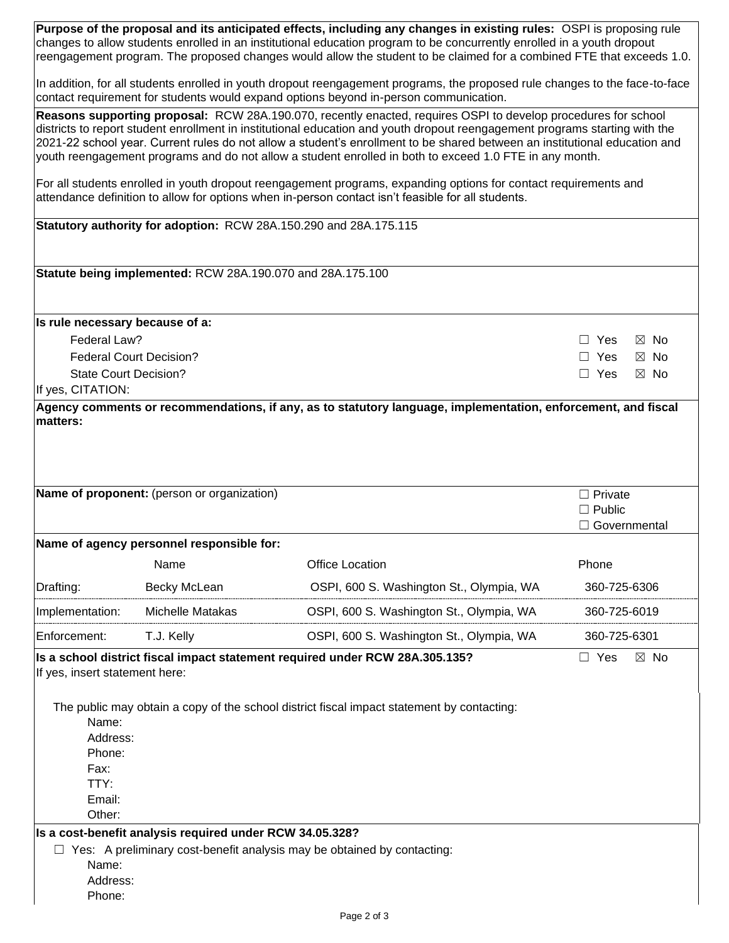| Purpose of the proposal and its anticipated effects, including any changes in existing rules: OSPI is proposing rule<br>changes to allow students enrolled in an institutional education program to be concurrently enrolled in a youth dropout<br>reengagement program. The proposed changes would allow the student to be claimed for a combined FTE that exceeds 1.0.                                                                                                               |                                                            |                                                                                            |                                                   |                |  |  |
|----------------------------------------------------------------------------------------------------------------------------------------------------------------------------------------------------------------------------------------------------------------------------------------------------------------------------------------------------------------------------------------------------------------------------------------------------------------------------------------|------------------------------------------------------------|--------------------------------------------------------------------------------------------|---------------------------------------------------|----------------|--|--|
| In addition, for all students enrolled in youth dropout reengagement programs, the proposed rule changes to the face-to-face<br>contact requirement for students would expand options beyond in-person communication.                                                                                                                                                                                                                                                                  |                                                            |                                                                                            |                                                   |                |  |  |
| Reasons supporting proposal: RCW 28A.190.070, recently enacted, requires OSPI to develop procedures for school<br>districts to report student enrollment in institutional education and youth dropout reengagement programs starting with the<br>2021-22 school year. Current rules do not allow a student's enrollment to be shared between an institutional education and<br>youth reengagement programs and do not allow a student enrolled in both to exceed 1.0 FTE in any month. |                                                            |                                                                                            |                                                   |                |  |  |
| For all students enrolled in youth dropout reengagement programs, expanding options for contact requirements and<br>attendance definition to allow for options when in-person contact isn't feasible for all students.                                                                                                                                                                                                                                                                 |                                                            |                                                                                            |                                                   |                |  |  |
| Statutory authority for adoption: RCW 28A.150.290 and 28A.175.115                                                                                                                                                                                                                                                                                                                                                                                                                      |                                                            |                                                                                            |                                                   |                |  |  |
|                                                                                                                                                                                                                                                                                                                                                                                                                                                                                        | Statute being implemented: RCW 28A.190.070 and 28A.175.100 |                                                                                            |                                                   |                |  |  |
| Is rule necessary because of a:                                                                                                                                                                                                                                                                                                                                                                                                                                                        |                                                            |                                                                                            |                                                   |                |  |  |
| Federal Law?                                                                                                                                                                                                                                                                                                                                                                                                                                                                           |                                                            |                                                                                            | $\Box$ Yes                                        | $\boxtimes$ No |  |  |
|                                                                                                                                                                                                                                                                                                                                                                                                                                                                                        | <b>Federal Court Decision?</b>                             |                                                                                            | $\Box$ Yes                                        | $\boxtimes$ No |  |  |
| <b>State Court Decision?</b><br>If yes, CITATION:                                                                                                                                                                                                                                                                                                                                                                                                                                      |                                                            |                                                                                            | $\Box$ Yes                                        | $\boxtimes$ No |  |  |
|                                                                                                                                                                                                                                                                                                                                                                                                                                                                                        |                                                            |                                                                                            |                                                   |                |  |  |
|                                                                                                                                                                                                                                                                                                                                                                                                                                                                                        |                                                            |                                                                                            |                                                   |                |  |  |
|                                                                                                                                                                                                                                                                                                                                                                                                                                                                                        | Name of proponent: (person or organization)                |                                                                                            | $\Box$ Private<br>$\Box$ Public<br>□ Governmental |                |  |  |
|                                                                                                                                                                                                                                                                                                                                                                                                                                                                                        | Name of agency personnel responsible for:                  |                                                                                            |                                                   |                |  |  |
|                                                                                                                                                                                                                                                                                                                                                                                                                                                                                        | Name                                                       | <b>Office Location</b>                                                                     | Phone                                             |                |  |  |
| Drafting:                                                                                                                                                                                                                                                                                                                                                                                                                                                                              | Becky McLean                                               | OSPI, 600 S. Washington St., Olympia, WA                                                   | 360-725-6306                                      |                |  |  |
| Implementation:                                                                                                                                                                                                                                                                                                                                                                                                                                                                        | Michelle Matakas                                           | OSPI, 600 S. Washington St., Olympia, WA                                                   | 360-725-6019                                      |                |  |  |
| Enforcement:                                                                                                                                                                                                                                                                                                                                                                                                                                                                           | T.J. Kelly                                                 | OSPI, 600 S. Washington St., Olympia, WA                                                   | 360-725-6301                                      |                |  |  |
| If yes, insert statement here:                                                                                                                                                                                                                                                                                                                                                                                                                                                         |                                                            | Is a school district fiscal impact statement required under RCW 28A.305.135?               | $\Box$ Yes                                        | $\boxtimes$ No |  |  |
| Name:                                                                                                                                                                                                                                                                                                                                                                                                                                                                                  |                                                            | The public may obtain a copy of the school district fiscal impact statement by contacting: |                                                   |                |  |  |
| Address:                                                                                                                                                                                                                                                                                                                                                                                                                                                                               |                                                            |                                                                                            |                                                   |                |  |  |
| Phone:                                                                                                                                                                                                                                                                                                                                                                                                                                                                                 |                                                            |                                                                                            |                                                   |                |  |  |
| Fax:                                                                                                                                                                                                                                                                                                                                                                                                                                                                                   |                                                            |                                                                                            |                                                   |                |  |  |
| TTY:<br>Email:                                                                                                                                                                                                                                                                                                                                                                                                                                                                         |                                                            |                                                                                            |                                                   |                |  |  |
| Other:                                                                                                                                                                                                                                                                                                                                                                                                                                                                                 |                                                            |                                                                                            |                                                   |                |  |  |
|                                                                                                                                                                                                                                                                                                                                                                                                                                                                                        | Is a cost-benefit analysis required under RCW 34.05.328?   |                                                                                            |                                                   |                |  |  |
|                                                                                                                                                                                                                                                                                                                                                                                                                                                                                        |                                                            | $\Box$ Yes: A preliminary cost-benefit analysis may be obtained by contacting:             |                                                   |                |  |  |
| Name:<br>Address:                                                                                                                                                                                                                                                                                                                                                                                                                                                                      |                                                            |                                                                                            |                                                   |                |  |  |